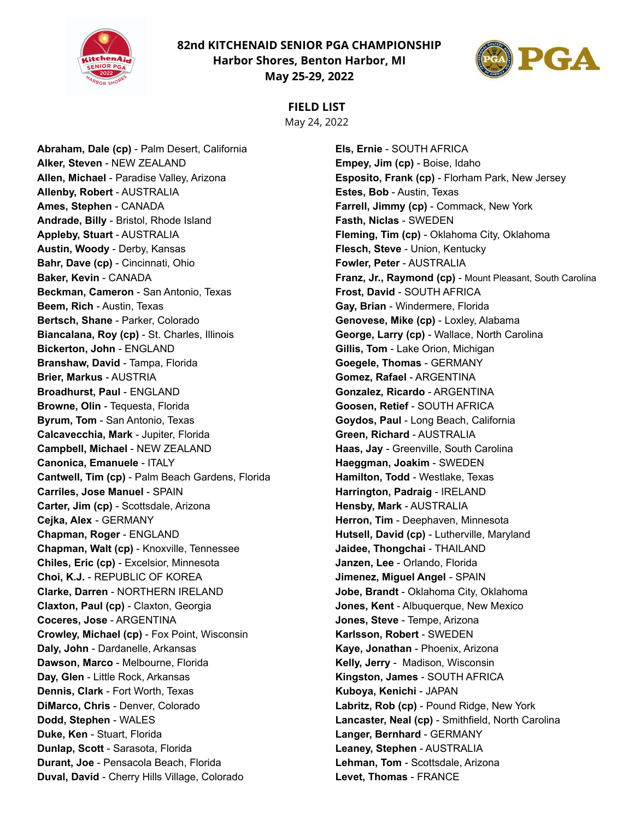**82nd KITCHENAID SENIOR PGA CHAMPIONSHIP Harbor Shores, Benton Harbor, MI**



**May 25-29, 2022**



# **FIELD LIST**

May 24, 2022

**Abraham, Dale (cp)** - Palm Desert, California **Alker, Steven** - NEW ZEALAND **Allen, Michael** - Paradise Valley, Arizona **Allenby, Robert** - AUSTRALIA **Ames, Stephen** - CANADA **Andrade, Billy** - Bristol, Rhode Island **Appleby, Stuart** - AUSTRALIA **Austin, Woody** - Derby, Kansas **Bahr, Dave (cp)** - Cincinnati, Ohio **Baker, Kevin** - CANADA **Beckman, Cameron** - San Antonio, Texas **Beem, Rich** - Austin, Texas **Bertsch, Shane** - Parker, Colorado **Biancalana, Roy (cp)** - St. Charles, Illinois **Bickerton, John** - ENGLAND **Branshaw, David** - Tampa, Florida **Brier, Markus** - AUSTRIA **Broadhurst, Paul** - ENGLAND **Browne, Olin** - Tequesta, Florida **Byrum, Tom** - San Antonio, Texas **Calcavecchia, Mark** - Jupiter, Florida **Campbell, Michael** - NEW ZEALAND **Canonica, Emanuele** - ITALY **Cantwell, Tim (cp)** - Palm Beach Gardens, Florida **Carriles, Jose Manuel** - SPAIN **Carter, Jim (cp)** - Scottsdale, Arizona **Cejka, Alex** - GERMANY **Chapman, Roger** - ENGLAND **Chapman, Walt (cp)** - Knoxville, Tennessee **Chiles, Eric (cp)** - Excelsior, Minnesota **Choi, K.J.** - REPUBLIC OF KOREA **Clarke, Darren** - NORTHERN IRELAND **Claxton, Paul (cp)** - Claxton, Georgia **Coceres, Jose** - ARGENTINA **Crowley, Michael (cp)** - Fox Point, Wisconsin **Daly, John** - Dardanelle, Arkansas **Dawson, Marco** - Melbourne, Florida **Day, Glen** - Little Rock, Arkansas **Dennis, Clark** - Fort Worth, Texas **DiMarco, Chris** - Denver, Colorado **Dodd, Stephen** - WALES **Duke, Ken** - Stuart, Florida **Dunlap, Scott** - Sarasota, Florida **Durant, Joe** - Pensacola Beach, Florida **Duval, David** - Cherry Hills Village, Colorado

**Els, Ernie** - SOUTH AFRICA **Empey, Jim (cp)** - Boise, Idaho **Esposito, Frank (cp)** - Florham Park, New Jersey **Estes, Bob** - Austin, Texas **Farrell, Jimmy (cp)** - Commack, New York **Fasth, Niclas** - SWEDEN **Fleming, Tim (cp)** - Oklahoma City, Oklahoma **Flesch, Steve** - Union, Kentucky **Fowler, Peter** - AUSTRALIA **Franz, Jr., Raymond (cp)** - Mount Pleasant, South Carolina **Frost, David** - SOUTH AFRICA **Gay, Brian** - Windermere, Florida **Genovese, Mike (cp)** - Loxley, Alabama **George, Larry (cp)** - Wallace, North Carolina **Gillis, Tom** - Lake Orion, Michigan **Goegele, Thomas** - GERMANY **Gomez, Rafael** - ARGENTINA **Gonzalez, Ricardo** - ARGENTINA **Goosen, Retief** - SOUTH AFRICA **Goydos, Paul** - Long Beach, California **Green, Richard** - AUSTRALIA **Haas, Jay** - Greenville, South Carolina **Haeggman, Joakim** - SWEDEN **Hamilton, Todd** - Westlake, Texas **Harrington, Padraig** - IRELAND **Hensby, Mark** - AUSTRALIA **Herron, Tim** - Deephaven, Minnesota **Hutsell, David (cp)** - Lutherville, Maryland **Jaidee, Thongchai** - THAILAND **Janzen, Lee** - Orlando, Florida **Jimenez, Miguel Angel** - SPAIN **Jobe, Brandt** - Oklahoma City, Oklahoma **Jones, Kent** - Albuquerque, New Mexico **Jones, Steve** - Tempe, Arizona **Karlsson, Robert** - SWEDEN **Kaye, Jonathan** - Phoenix, Arizona **Kelly, Jerry** - Madison, Wisconsin **Kingston, James** - SOUTH AFRICA **Kuboya, Kenichi** - JAPAN **Labritz, Rob (cp)** - Pound Ridge, New York **Lancaster, Neal (cp)** - Smithfield, North Carolina **Langer, Bernhard** - GERMANY **Leaney, Stephen** - AUSTRALIA **Lehman, Tom** - Scottsdale, Arizona **Levet, Thomas** - FRANCE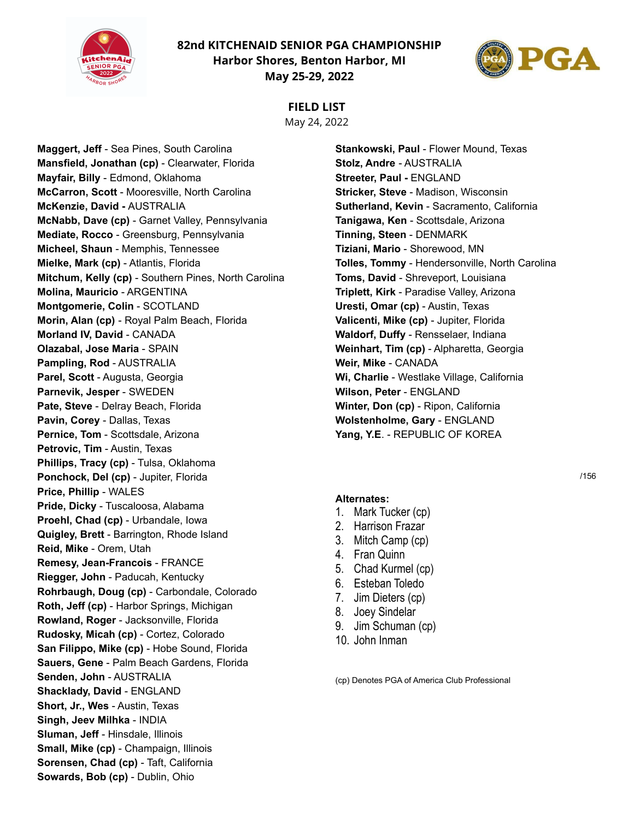**82nd KITCHENAID SENIOR PGA CHAMPIONSHIP Harbor Shores, Benton Harbor, MI May 25-29, 2022**



## **FIELD LIST**

May 24, 2022

**Maggert, Jeff** - Sea Pines, South Carolina **Mansfield, Jonathan (cp)** - Clearwater, Florida **Mayfair, Billy** - Edmond, Oklahoma **McCarron, Scott** - Mooresville, North Carolina **McKenzie, David -** AUSTRALIA **McNabb, Dave (cp)** - Garnet Valley, Pennsylvania **Mediate, Rocco** - Greensburg, Pennsylvania **Micheel, Shaun** - Memphis, Tennessee **Mielke, Mark (cp)** - Atlantis, Florida **Mitchum, Kelly (cp)** - Southern Pines, North Carolina **Molina, Mauricio** - ARGENTINA **Montgomerie, Colin** - SCOTLAND **Morin, Alan (cp)** - Royal Palm Beach, Florida **Morland IV, David** - CANADA **Olazabal, Jose Maria** - SPAIN **Pampling, Rod** - AUSTRALIA **Parel, Scott** - Augusta, Georgia **Parnevik, Jesper** - SWEDEN **Pate, Steve** - Delray Beach, Florida **Pavin, Corey** - Dallas, Texas **Pernice, Tom** - Scottsdale, Arizona **Petrovic, Tim** - Austin, Texas **Phillips, Tracy (cp)** - Tulsa, Oklahoma **Ponchock, Del (cp)** - Jupiter, Florida **Price, Phillip** - WALES **Pride, Dicky** - Tuscaloosa, Alabama **Proehl, Chad (cp)** - Urbandale, Iowa **Quigley, Brett** - Barrington, Rhode Island **Reid, Mike** - Orem, Utah **Remesy, Jean-Francois** - FRANCE **Riegger, John** - Paducah, Kentucky **Rohrbaugh, Doug (cp)** - Carbondale, Colorado **Roth, Jeff (cp)** - Harbor Springs, Michigan **Rowland, Roger** - Jacksonville, Florida **Rudosky, Micah (cp)** - Cortez, Colorado **San Filippo, Mike (cp)** - Hobe Sound, Florida **Sauers, Gene** - Palm Beach Gardens, Florida **Senden, John** - AUSTRALIA **Shacklady, David** - ENGLAND **Short, Jr., Wes** - Austin, Texas **Singh, Jeev Milhka** - INDIA **Sluman, Jeff** - Hinsdale, Illinois **Small, Mike (cp)** - Champaign, Illinois **Sorensen, Chad (cp)** - Taft, California **Sowards, Bob (cp)** - Dublin, Ohio

**Stankowski, Paul** - Flower Mound, Texas **Stolz, Andre** - AUSTRALIA **Streeter, Paul -** ENGLAND **Stricker, Steve** - Madison, Wisconsin **Sutherland, Kevin** - Sacramento, California **Tanigawa, Ken** - Scottsdale, Arizona **Tinning, Steen** - DENMARK **Tiziani, Mario** - Shorewood, MN **Tolles, Tommy** - Hendersonville, North Carolina **Toms, David** - Shreveport, Louisiana **Triplett, Kirk** - Paradise Valley, Arizona **Uresti, Omar (cp)** - Austin, Texas **Valicenti, Mike (cp)** - Jupiter, Florida **Waldorf, Duffy** - Rensselaer, Indiana **Weinhart, Tim (cp)** - Alpharetta, Georgia **Weir, Mike** - CANADA **Wi, Charlie** - Westlake Village, California **Wilson, Peter** - ENGLAND **Winter, Don (cp)** - Ripon, California **Wolstenholme, Gary** - ENGLAND **Yang, Y.E**. - REPUBLIC OF KOREA

#### **Alternates:**

- 1. Mark Tucker (cp)
- 2. Harrison Frazar
- 3. Mitch Camp (cp)
- 4. Fran Quinn
- 5. Chad Kurmel (cp)
- 6. Esteban Toledo
- 7. Jim Dieters (cp)
- 8. Joey Sindelar
- 9. Jim Schuman (cp)
- 10. John Inman

(cp) Denotes PGA of America Club Professional

/156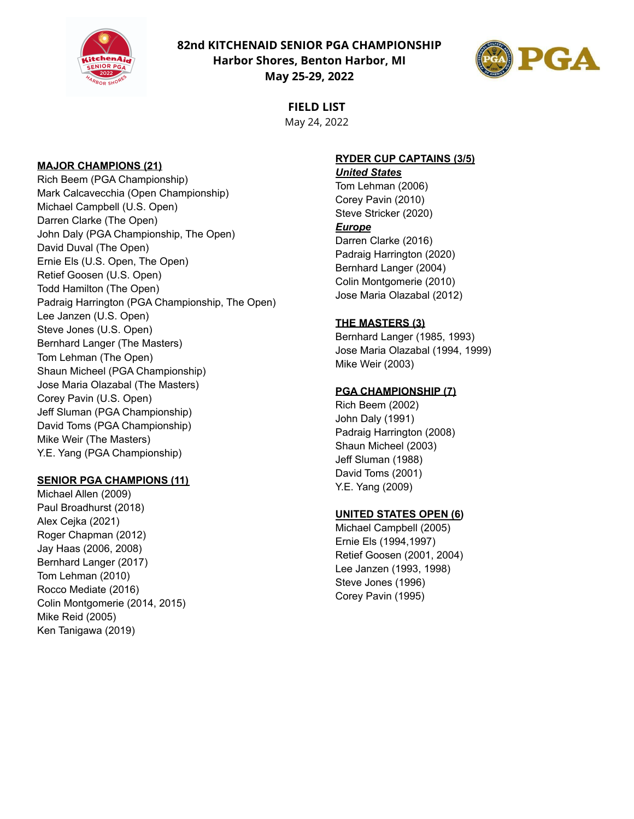

**82nd KITCHENAID SENIOR PGA CHAMPIONSHIP Harbor Shores, Benton Harbor, MI May 25-29, 2022**



**FIELD LIST** May 24, 2022

#### **MAJOR CHAMPIONS (21)**

Rich Beem (PGA Championship) Mark Calcavecchia (Open Championship) Michael Campbell (U.S. Open) Darren Clarke (The Open) John Daly (PGA Championship, The Open) David Duval (The Open) Ernie Els (U.S. Open, The Open) Retief Goosen (U.S. Open) Todd Hamilton (The Open) Padraig Harrington (PGA Championship, The Open) Lee Janzen (U.S. Open) Steve Jones (U.S. Open) Bernhard Langer (The Masters) Tom Lehman (The Open) Shaun Micheel (PGA Championship) Jose Maria Olazabal (The Masters) Corey Pavin (U.S. Open) Jeff Sluman (PGA Championship) David Toms (PGA Championship) Mike Weir (The Masters) Y.E. Yang (PGA Championship)

## **SENIOR PGA CHAMPIONS (11)**

Michael Allen (2009) Paul Broadhurst (2018) Alex Cejka (2021) Roger Chapman (2012) Jay Haas (2006, 2008) Bernhard Langer (2017) Tom Lehman (2010) Rocco Mediate (2016) Colin Montgomerie (2014, 2015) Mike Reid (2005) Ken Tanigawa (2019)

## **RYDER CUP CAPTAINS (3/5)**

*United States* Tom Lehman (2006) Corey Pavin (2010) Steve Stricker (2020)

#### *Europe*

Darren Clarke (2016) Padraig Harrington (2020) Bernhard Langer (2004) Colin Montgomerie (2010) Jose Maria Olazabal (2012)

#### **THE MASTERS (3)**

Bernhard Langer (1985, 1993) Jose Maria Olazabal (1994, 1999) Mike Weir (2003)

#### **PGA CHAMPIONSHIP (7)**

Rich Beem (2002) John Daly (1991) Padraig Harrington (2008) Shaun Micheel (2003) Jeff Sluman (1988) David Toms (2001) Y.E. Yang (2009)

#### **UNITED STATES OPEN (6)**

Michael Campbell (2005) Ernie Els (1994,1997) Retief Goosen (2001, 2004) Lee Janzen (1993, 1998) Steve Jones (1996) Corey Pavin (1995)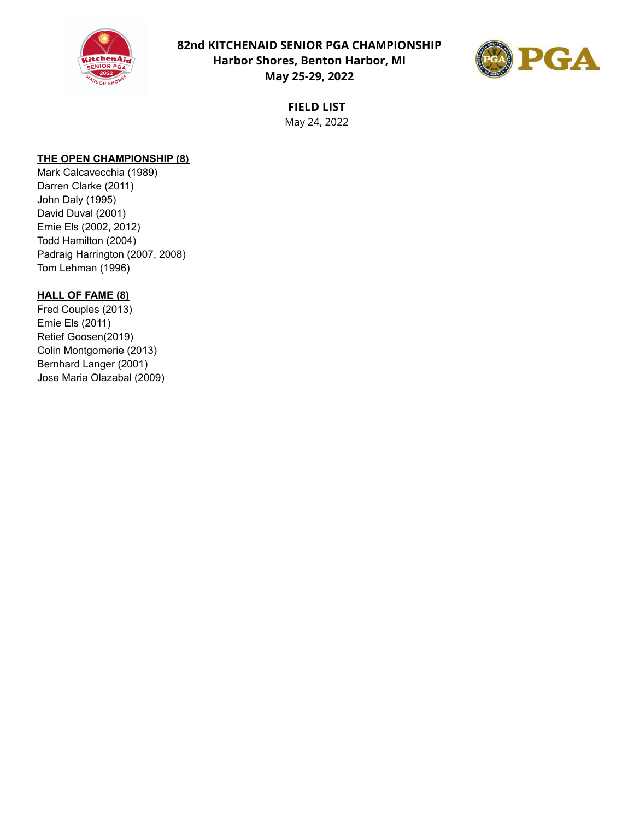

**82nd KITCHENAID SENIOR PGA CHAMPIONSHIP Harbor Shores, Benton Harbor, MI May 25-29, 2022**



**FIELD LIST** May 24, 2022

### **THE OPEN CHAMPIONSHIP (8)**

Mark Calcavecchia (1989) Darren Clarke (2011) John Daly (1995) David Duval (2001) Ernie Els (2002, 2012) Todd Hamilton (2004) Padraig Harrington (2007, 2008) Tom Lehman (1996)

### **HALL OF FAME (8)**

Fred Couples (2013) Ernie Els (2011) Retief Goosen(2019) Colin Montgomerie (2013) Bernhard Langer (2001) Jose Maria Olazabal (2009)